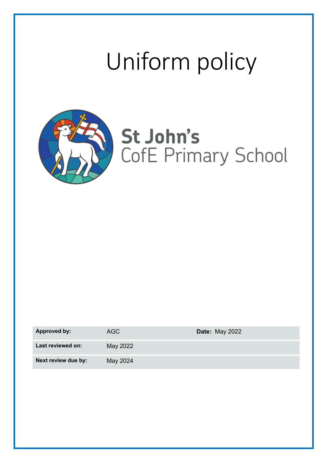# Uniform policy



## St John's CofE Primary School

| <b>Approved by:</b> | AGC      | <b>Date: May 2022</b> |
|---------------------|----------|-----------------------|
| Last reviewed on:   | May 2022 |                       |
| Next review due by: | May 2024 |                       |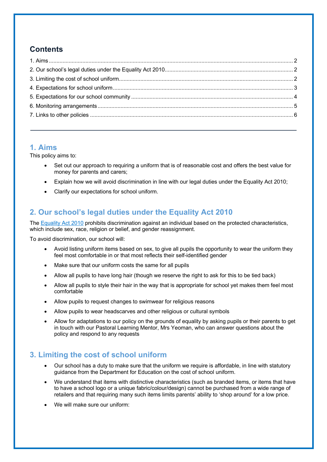## **Contents**

### **1. Aims**

This policy aims to:

- Set out our approach to requiring a uniform that is of reasonable cost and offers the best value for money for parents and carers;
- Explain how we will avoid discrimination in line with our legal duties under the Equality Act 2010;
- Clarify our expectations for school uniform.

## **2. Our school's legal duties under the Equality Act 2010**

The Equality Act 2010 prohibits discrimination against an individual based on the protected characteristics, which include sex, race, religion or belief, and gender reassignment.

To avoid discrimination, our school will:

- Avoid listing uniform items based on sex, to give all pupils the opportunity to wear the uniform they feel most comfortable in or that most reflects their self-identified gender
- Make sure that our uniform costs the same for all pupils
- Allow all pupils to have long hair (though we reserve the right to ask for this to be tied back)
- Allow all pupils to style their hair in the way that is appropriate for school yet makes them feel most comfortable
- Allow pupils to request changes to swimwear for religious reasons
- Allow pupils to wear headscarves and other religious or cultural symbols
- Allow for adaptations to our policy on the grounds of equality by asking pupils or their parents to get in touch with our Pastoral Learning Mentor, Mrs Yeoman, who can answer questions about the policy and respond to any requests

## **3. Limiting the cost of school uniform**

- Our school has a duty to make sure that the uniform we require is affordable, in line with statutory guidance from the Department for Education on the cost of school uniform.
- We understand that items with distinctive characteristics (such as branded items, or items that have to have a school logo or a unique fabric/colour/design) cannot be purchased from a wide range of retailers and that requiring many such items limits parents' ability to 'shop around' for a low price.
- We will make sure our uniform: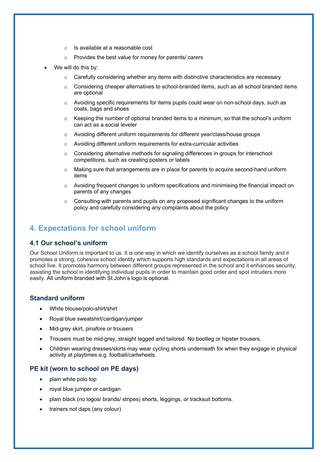- o Is available at a reasonable cost
- o Provides the best value for money for parents/ carers
- We will do this by:
	- $\circ$  Carefully considering whether any items with distinctive characteristics are necessary
	- $\circ$  Considering cheaper alternatives to school-branded items, such as all school branded items are optional
	- $\circ$  Avoiding specific requirements for items pupils could wear on non-school days, such as coats, bags and shoes
	- $\circ$  Keeping the number of optional branded items to a minimum, so that the school's uniform can act as a social leveler
	- o Avoiding different uniform requirements for different year/class/house groups
	- o Avoiding different uniform requirements for extra-curricular activities
	- $\circ$  Considering alternative methods for signaling differences in groups for interschool competitions, such as creating posters or labels
	- $\circ$  Making sure that arrangements are in place for parents to acquire second-hand uniform items
	- $\circ$  Avoiding frequent changes to uniform specifications and minimising the financial impact on parents of any changes
	- $\circ$  Consulting with parents and pupils on any proposed significant changes to the uniform policy and carefully considering any complaints about the policy

#### **4. Expectations for school uniform**

#### **4.1 Our school's uniform**

Our School Uniform is important to us. It is one way in which we identify ourselves as a school family and it promotes a strong, cohesive school identity which supports high standards and expectations in all areas of school live. It promotes harmony between different groups represented in the school and it enhances security, assisting the school in identifying individual pupils in order to maintain good order and spot intruders more easily. All uniform branded with St John's logo is optional.

#### **Standard uniform**

- White blouse/polo-shirt/shirt
- Royal blue sweatshirt/cardigan/jumper
- Mid-grey skirt, pinafore or trousers
- Trousers must be mid-grey, straight legged and tailored. No bootleg or hipster trousers.
- Children wearing dresses/skirts may wear cycling shorts underneath for when they engage in physical activity at playtimes e.g. football/cartwheels.

#### **PE kit (worn to school on PE days)**

- plain white polo top
- royal blue jumper or cardigan
- plain black (no logos/ brands/ stripes) shorts, leggings, or tracksuit bottoms.
- trainers not daps (any colour)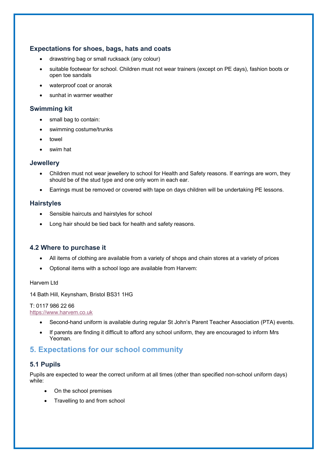#### **Expectations for shoes, bags, hats and coats**

- drawstring bag or small rucksack (any colour)
- suitable footwear for school. Children must not wear trainers (except on PE days), fashion boots or open toe sandals
- waterproof coat or anorak
- sunhat in warmer weather

#### **Swimming kit**

- small bag to contain:
- swimming costume/trunks
- towel
- swim hat

#### **Jewellery**

- Children must not wear jewellery to school for Health and Safety reasons. If earrings are worn, they should be of the stud type and one only worn in each ear.
- Earrings must be removed or covered with tape on days children will be undertaking PE lessons.

#### **Hairstyles**

- Sensible haircuts and hairstyles for school
- Long hair should be tied back for health and safety reasons.

#### **4.2 Where to purchase it**

- All items of clothing are available from a variety of shops and chain stores at a variety of prices
- Optional items with a school logo are available from Harvem:

Harvem Ltd

14 Bath Hill, Keynsham, Bristol BS31 1HG

#### T: 0117 986 22 66

#### https://www.harvem.co.uk

- Second-hand uniform is available during regular St John's Parent Teacher Association (PTA) events.
- If parents are finding it difficult to afford any school uniform, they are encouraged to inform Mrs Yeoman.

#### **5. Expectations for our school community**

#### **5.1 Pupils**

Pupils are expected to wear the correct uniform at all times (other than specified non-school uniform days) while:

- On the school premises
- Travelling to and from school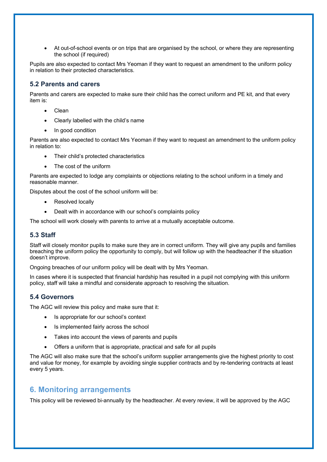• At out-of-school events or on trips that are organised by the school, or where they are representing the school (if required)

Pupils are also expected to contact Mrs Yeoman if they want to request an amendment to the uniform policy in relation to their protected characteristics.

#### **5.2 Parents and carers**

Parents and carers are expected to make sure their child has the correct uniform and PE kit, and that every item is:

- **Clean**
- Clearly labelled with the child's name
- In good condition

Parents are also expected to contact Mrs Yeoman if they want to request an amendment to the uniform policy in relation to:

- Their child's protected characteristics
- The cost of the uniform

Parents are expected to lodge any complaints or objections relating to the school uniform in a timely and reasonable manner.

Disputes about the cost of the school uniform will be:

- Resolved locally
- Dealt with in accordance with our school's complaints policy

The school will work closely with parents to arrive at a mutually acceptable outcome.

#### **5.3 Staff**

Staff will closely monitor pupils to make sure they are in correct uniform. They will give any pupils and families breaching the uniform policy the opportunity to comply, but will follow up with the headteacher if the situation doesn't improve.

Ongoing breaches of our uniform policy will be dealt with by Mrs Yeoman.

In cases where it is suspected that financial hardship has resulted in a pupil not complying with this uniform policy, staff will take a mindful and considerate approach to resolving the situation.

#### **5.4 Governors**

The AGC will review this policy and make sure that it:

- Is appropriate for our school's context
- Is implemented fairly across the school
- Takes into account the views of parents and pupils
- Offers a uniform that is appropriate, practical and safe for all pupils

The AGC will also make sure that the school's uniform supplier arrangements give the highest priority to cost and value for money, for example by avoiding single supplier contracts and by re-tendering contracts at least every 5 years.

#### **6. Monitoring arrangements**

This policy will be reviewed bi-annually by the headteacher. At every review, it will be approved by the AGC